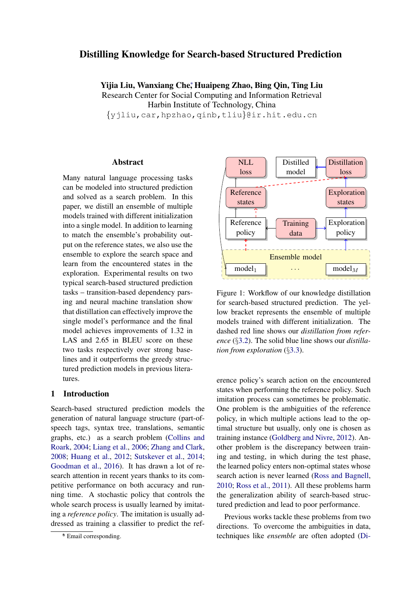# Distilling Knowledge for Search-based Structured Prediction

Yijia Liu, Wanxiang Che<sup>∗</sup> , Huaipeng Zhao, Bing Qin, Ting Liu Research Center for Social Computing and Information Retrieval Harbin Institute of Technology, China {yjliu,car,hpzhao,qinb,tliu}@ir.hit.edu.cn

#### Abstract

Many natural language processing tasks can be modeled into structured prediction and solved as a search problem. In this paper, we distill an ensemble of multiple models trained with different initialization into a single model. In addition to learning to match the ensemble's probability output on the reference states, we also use the ensemble to explore the search space and learn from the encountered states in the exploration. Experimental results on two typical search-based structured prediction tasks – transition-based dependency parsing and neural machine translation show that distillation can effectively improve the single model's performance and the final model achieves improvements of 1.32 in LAS and 2.65 in BLEU score on these two tasks respectively over strong baselines and it outperforms the greedy structured prediction models in previous literatures.

# 1 Introduction

Search-based structured prediction models the generation of natural language structure (part-ofspeech tags, syntax tree, translations, semantic graphs, etc.) as a search problem [\(Collins and](#page-8-0) [Roark,](#page-8-0) [2004;](#page-8-0) [Liang et al.,](#page-9-0) [2006;](#page-9-0) [Zhang and Clark,](#page-9-1) [2008;](#page-9-1) [Huang et al.,](#page-9-2) [2012;](#page-9-2) [Sutskever et al.,](#page-9-3) [2014;](#page-9-3) [Goodman et al.,](#page-9-4) [2016\)](#page-9-4). It has drawn a lot of research attention in recent years thanks to its competitive performance on both accuracy and running time. A stochastic policy that controls the whole search process is usually learned by imitating a *reference policy*. The imitation is usually addressed as training a classifier to predict the ref-

<span id="page-0-0"></span>

Figure 1: Workflow of our knowledge distillation for search-based structured prediction. The yellow bracket represents the ensemble of multiple models trained with different initialization. The dashed red line shows our *distillation from reference* (§[3.2\)](#page-3-0). The solid blue line shows our *distillation from exploration* (§[3.3\)](#page-3-1).

erence policy's search action on the encountered states when performing the reference policy. Such imitation process can sometimes be problematic. One problem is the ambiguities of the reference policy, in which multiple actions lead to the optimal structure but usually, only one is chosen as training instance [\(Goldberg and Nivre,](#page-9-5) [2012\)](#page-9-5). Another problem is the discrepancy between training and testing, in which during the test phase, the learned policy enters non-optimal states whose search action is never learned [\(Ross and Bagnell,](#page-9-6) [2010;](#page-9-6) [Ross et al.,](#page-9-7) [2011\)](#page-9-7). All these problems harm the generalization ability of search-based structured prediction and lead to poor performance.

Previous works tackle these problems from two directions. To overcome the ambiguities in data, techniques like *ensemble* are often adopted [\(Di-](#page-8-1)

<sup>∗</sup> \* Email corresponding.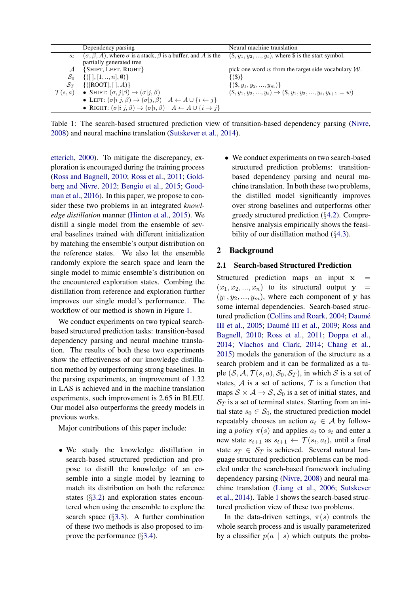<span id="page-1-0"></span>

|                    | Dependency parsing                                                                                    | Neural machine translation                                             |
|--------------------|-------------------------------------------------------------------------------------------------------|------------------------------------------------------------------------|
| $S_t$              | $(\sigma, \beta, A)$ , where $\sigma$ is a stack, $\beta$ is a buffer, and A is the                   | $(\$, y_1, y_2, \ldots, y_t),$ where $\$$ is the start symbol.         |
|                    | partially generated tree                                                                              |                                                                        |
| $\mathcal{A}$      | {SHIFT, LEFT, RIGHT}                                                                                  | pick one word w from the target side vocabulary $W$ .                  |
| $S_0$              | $\{([], [1, , n], \emptyset)\}\$                                                                      | $\{(S)\}\$                                                             |
| $S_T$              | $\{([ROOT], [0], A)\}$                                                                                | $\{(\$, y_1, y_2, , y_m)\}\$                                           |
| $\mathcal{T}(s,a)$ | • SHIFT: $(\sigma, j   \beta) \rightarrow (\sigma   j, \beta)$                                        | $(\$, y_1, y_2, , y_t) \rightarrow (\$, y_1, y_2, , y_t, y_{t+1} = w)$ |
|                    | • LEFT: $(\sigma i\ j,\beta) \rightarrow (\sigma j,\beta)$ $A \leftarrow A \cup \{i \leftarrow j\}$   |                                                                        |
|                    | • RIGHT: $(\sigma i\ j,\beta) \rightarrow (\sigma i,\beta)$ $A \leftarrow A \cup \{i \rightarrow j\}$ |                                                                        |

[Table 1: The search-based structured prediction view of transition-based dependency parsing \(Nivre,](#page-8-1) [2008\) and neural machine translation \(Sutskever et al.,](#page-8-1) [2014\)](#page-9-3).

[etterich,](#page-8-1) [2000\)](#page-8-1). To mitigate the discrepancy, exploration is encouraged during the training process [\(Ross and Bagnell,](#page-9-6) [2010;](#page-9-6) [Ross et al.,](#page-9-7) [2011;](#page-9-7) [Gold](#page-9-5)[berg and Nivre,](#page-9-5) [2012;](#page-9-5) [Bengio et al.,](#page-8-2) [2015;](#page-8-2) [Good](#page-9-4)[man et al.,](#page-9-4) [2016\)](#page-9-4). In this paper, we propose to consider these two problems in an integrated *knowledge distillation* manner [\(Hinton et al.,](#page-9-9) [2015\)](#page-9-9). We distill a single model from the ensemble of several baselines trained with different initialization by matching the ensemble's output distribution on the reference states. We also let the ensemble randomly explore the search space and learn the single model to mimic ensemble's distribution on the encountered exploration states. Combing the distillation from reference and exploration further improves our single model's performance. The workflow of our method is shown in Figure [1.](#page-0-0)

We conduct experiments on two typical searchbased structured prediction tasks: transition-based dependency parsing and neural machine translation. The results of both these two experiments show the effectiveness of our knowledge distillation method by outperforming strong baselines. In the parsing experiments, an improvement of 1.32 in LAS is achieved and in the machine translation experiments, such improvement is 2.65 in BLEU. Our model also outperforms the greedy models in previous works.

Major contributions of this paper include:

• We study the knowledge distillation in search-based structured prediction and propose to distill the knowledge of an ensemble into a single model by learning to match its distribution on both the reference states (§[3.2\)](#page-3-0) and exploration states encountered when using the ensemble to explore the search space  $(\S3.3)$  $(\S3.3)$ . A further combination of these two methods is also proposed to improve the performance (§[3.4\)](#page-4-0).

• We conduct experiments on two search-based structured prediction problems: transitionbased dependency parsing and neural machine translation. In both these two problems, the distilled model significantly improves over strong baselines and outperforms other greedy structured prediction (§[4.2\)](#page-5-0). Comprehensive analysis empirically shows the feasibility of our distillation method (§[4.3\)](#page-6-0).

# 2 Background

#### <span id="page-1-1"></span>2.1 Search-based Structured Prediction

Structured prediction maps an input  $x =$  $(x_1, x_2, ..., x_n)$  to its structural output  $y =$  $(y_1, y_2, \ldots, y_m)$ , where each component of y has some internal dependencies. Search-based struc-tured prediction [\(Collins and Roark,](#page-8-0) [2004;](#page-8-0) Daumé [III et al.,](#page-8-3) [2005;](#page-8-3) Daumé III et al., [2009;](#page-8-4) [Ross and](#page-9-6) [Bagnell,](#page-9-6) [2010;](#page-9-6) [Ross et al.,](#page-9-7) [2011;](#page-9-7) [Doppa et al.,](#page-8-5) [2014;](#page-8-5) [Vlachos and Clark,](#page-9-10) [2014;](#page-9-10) [Chang et al.,](#page-8-6) [2015\)](#page-8-6) models the generation of the structure as a search problem and it can be formalized as a tuple  $(S, A, \mathcal{T}(s, a), S_0, S_T)$ , in which S is a set of states,  $A$  is a set of actions,  $T$  is a function that maps  $S \times A \rightarrow S$ ,  $S_0$  is a set of initial states, and  $S_T$  is a set of terminal states. Starting from an initial state  $s_0 \in S_0$ , the structured prediction model repeatably chooses an action  $a_t \in A$  by following a *policy*  $\pi(s)$  and applies  $a_t$  to  $s_t$  and enter a new state  $s_{t+1}$  as  $s_{t+1} \leftarrow \mathcal{T}(s_t, a_t)$ , until a final state  $s_T \in S_T$  is achieved. Several natural language structured prediction problems can be modeled under the search-based framework including dependency parsing [\(Nivre,](#page-9-8) [2008\)](#page-9-8) and neural machine translation [\(Liang et al.,](#page-9-0) [2006;](#page-9-0) [Sutskever](#page-9-3) [et al.,](#page-9-3) [2014\)](#page-9-3). Table [1](#page-1-0) shows the search-based structured prediction view of these two problems.

In the data-driven settings,  $\pi(s)$  controls the whole search process and is usually parameterized by a classifier  $p(a \mid s)$  which outputs the proba-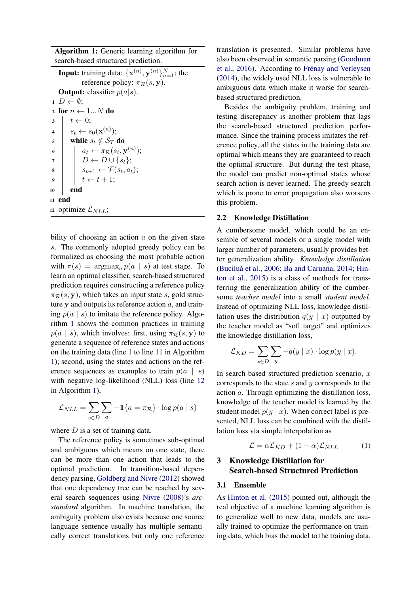Algorithm 1: Generic learning algorithm for search-based structured prediction.

<span id="page-2-1"></span>**Input:** training data:  $\{\mathbf{x}^{(n)}, \mathbf{y}^{(n)}\}_{n=1}^N$ ; the reference policy:  $\pi_R(s, y)$ . **Output:** classifier  $p(a|s)$ .  $1 D \leftarrow \emptyset;$ 2 for  $n \leftarrow 1...N$  do  $3 \mid t \leftarrow 0$ :  $\begin{aligned} \mathbf{4} \quad & | \quad s_t \leftarrow s_0(\mathbf{x}^{(n)}) ; \end{aligned}$ 5 while  $s_t \notin S_T$  do  $\begin{array}{|c|c|} \hline \textbf{6} & n\end{array} \begin{array}{|c|c|} \hline a_t &\!\!\!\!\leftarrow &\!\!\!\!\! \pi_{\mathcal{R}}(s_t, \mathbf{y}^{(n)}); \ \hline \end{array}$  $\begin{array}{ccc} \textbf{7} & | & | & D \leftarrow D \cup \{s_t\}; \end{array}$  $s \mid \quad s_{t+1} \leftarrow \mathcal{T}(s_t, a_t);$ 9  $t \leftarrow t + 1;$  $10$  end <sup>11</sup> end 12 optimize  $\mathcal{L}_{NLL}$ ;

<span id="page-2-3"></span><span id="page-2-2"></span><span id="page-2-0"></span>bility of choosing an action  $\alpha$  on the given state s. The commonly adopted greedy policy can be formalized as choosing the most probable action with  $\pi(s) = \argmax_a p(a \mid s)$  at test stage. To learn an optimal classifier, search-based structured prediction requires constructing a reference policy  $\pi_R(s, y)$ , which takes an input state s, gold structure  $y$  and outputs its reference action  $a$ , and training  $p(a \mid s)$  to imitate the reference policy. Algorithm [1](#page-2-0) shows the common practices in training  $p(a \mid s)$ , which involves: first, using  $\pi_{\mathcal{R}}(s, y)$  to generate a sequence of reference states and actions on the training data (line [1](#page-2-1) to line [11](#page-2-2) in Algorithm [1\)](#page-2-0); second, using the states and actions on the reference sequences as examples to train  $p(a \mid s)$ with negative log-likelihood (NLL) loss (line [12](#page-2-3) in Algorithm [1\)](#page-2-0),

$$
\mathcal{L}_{NLL} = \sum_{s \in D} \sum_{a} -\mathbb{1}\{a = \pi_{\mathcal{R}}\} \cdot \log p(a \mid s)
$$

where  $D$  is a set of training data.

The reference policy is sometimes sub-optimal and ambiguous which means on one state, there can be more than one action that leads to the optimal prediction. In transition-based dependency parsing, [Goldberg and Nivre](#page-9-5) [\(2012\)](#page-9-5) showed that one dependency tree can be reached by several search sequences using [Nivre](#page-9-8) [\(2008\)](#page-9-8)'s *arcstandard* algorithm. In machine translation, the ambiguity problem also exists because one source language sentence usually has multiple semantically correct translations but only one reference translation is presented. Similar problems have also been observed in semantic parsing [\(Goodman](#page-9-4) [et al.,](#page-9-4) [2016\)](#page-9-4). According to Frénay and Verleysen [\(2014\)](#page-8-7), the widely used NLL loss is vulnerable to ambiguous data which make it worse for searchbased structured prediction.

Besides the ambiguity problem, training and testing discrepancy is another problem that lags the search-based structured prediction performance. Since the training process imitates the reference policy, all the states in the training data are optimal which means they are guaranteed to reach the optimal structure. But during the test phase, the model can predict non-optimal states whose search action is never learned. The greedy search which is prone to error propagation also worsens this problem.

#### 2.2 Knowledge Distillation

A cumbersome model, which could be an ensemble of several models or a single model with larger number of parameters, usually provides better generalization ability. *Knowledge distillation* (Buciluă et al., [2006;](#page-8-8) [Ba and Caruana,](#page-8-9) [2014;](#page-8-9) [Hin](#page-9-9)[ton et al.,](#page-9-9) [2015\)](#page-9-9) is a class of methods for transferring the generalization ability of the cumbersome *teacher model* into a small *student model*. Instead of optimizing NLL loss, knowledge distillation uses the distribution  $q(y \mid x)$  outputted by the teacher model as "soft target" and optimizes the knowledge distillation loss,

$$
\mathcal{L}_{KD} = \sum_{x \in D} \sum_{y} -q(y \mid x) \cdot \log p(y \mid x).
$$

In search-based structured prediction scenario,  $x$ corresponds to the state s and y corresponds to the action a. Through optimizing the distillation loss, knowledge of the teacher model is learned by the student model  $p(y | x)$ . When correct label is presented, NLL loss can be combined with the distillation loss via simple interpolation as

<span id="page-2-4"></span>
$$
\mathcal{L} = \alpha \mathcal{L}_{KD} + (1 - \alpha) \mathcal{L}_{NLL} \tag{1}
$$

# 3 Knowledge Distillation for Search-based Structured Prediction

# 3.1 Ensemble

As [Hinton et al.](#page-9-9) [\(2015\)](#page-9-9) pointed out, although the real objective of a machine learning algorithm is to generalize well to new data, models are usually trained to optimize the performance on training data, which bias the model to the training data.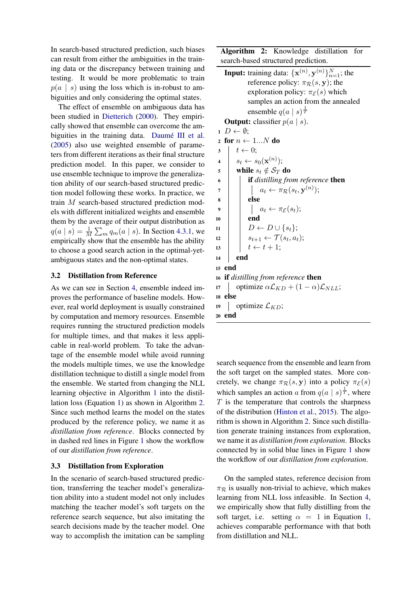In search-based structured prediction, such biases can result from either the ambiguities in the training data or the discrepancy between training and testing. It would be more problematic to train  $p(a \mid s)$  using the loss which is in-robust to ambiguities and only considering the optimal states.

The effect of ensemble on ambiguous data has been studied in [Dietterich](#page-8-1) [\(2000\)](#page-8-1). They empirically showed that ensemble can overcome the ambiguities in the training data. Daumé III et al. [\(2005\)](#page-8-3) also use weighted ensemble of parameters from different iterations as their final structure prediction model. In this paper, we consider to use ensemble technique to improve the generalization ability of our search-based structured prediction model following these works. In practice, we train M search-based structured prediction models with different initialized weights and ensemble them by the average of their output distribution as  $q(a \mid s) = \frac{1}{M} \sum_{m} q_m(a \mid s)$ . In Section [4.3.1,](#page-6-1) we empirically show that the ensemble has the ability to choose a good search action in the optimal-yetambiguous states and the non-optimal states.

# <span id="page-3-0"></span>3.2 Distillation from Reference

As we can see in Section [4,](#page-4-1) ensemble indeed improves the performance of baseline models. However, real world deployment is usually constrained by computation and memory resources. Ensemble requires running the structured prediction models for multiple times, and that makes it less applicable in real-world problem. To take the advantage of the ensemble model while avoid running the models multiple times, we use the knowledge distillation technique to distill a single model from the ensemble. We started from changing the NLL learning objective in Algorithm [1](#page-2-0) into the distillation loss (Equation [1\)](#page-2-4) as shown in Algorithm [2.](#page-3-2) Since such method learns the model on the states produced by the reference policy, we name it as *distillation from reference*. Blocks connected by in dashed red lines in Figure [1](#page-0-0) show the workflow of our *distillation from reference*.

# <span id="page-3-1"></span>3.3 Distillation from Exploration

In the scenario of search-based structured prediction, transferring the teacher model's generalization ability into a student model not only includes matching the teacher model's soft targets on the reference search sequence, but also imitating the search decisions made by the teacher model. One way to accomplish the imitation can be sampling Algorithm 2: Knowledge distillation for search-based structured prediction.

**Input:** training data:  $\{\mathbf{x}^{(n)}, \mathbf{y}^{(n)}\}_{n=1}^N$ ; the reference policy:  $\pi_R(s, y)$ ; the exploration policy:  $\pi_{\mathcal{E}}(s)$  which samples an action from the annealed ensemble  $q(a \mid s)^{\frac{1}{T}}$ **Output:** classifier  $p(a \mid s)$ .  $1 D \leftarrow \emptyset$ : 2 for  $n \leftarrow 1...N$  do  $3 \mid t \leftarrow 0;$  $\begin{aligned} \mathbf{4} \quad & | \quad s_t \leftarrow s_0(\mathbf{x}^{(n)}) ; \end{aligned}$ 5 while  $s_t \notin \mathcal{S}_T$  do <sup>6</sup> if *distilling from reference* then  $\begin{array}{cc} \pi \end{array} \big| \quad \big| \quad a_t \leftarrow \pi_{\mathcal{R}}(s_t, \mathbf{y}^{(n)});$  $\vert$  else 9  $|$   $a_t \leftarrow \pi_{\mathcal{E}}(s_t);$  $10$  end  $11 \mid D \leftarrow D \cup \{s_t\};$ 12  $\vert$   $s_{t+1} \leftarrow \mathcal{T}(s_t, a_t);$ 13 |  $t \leftarrow t + 1$ ;  $14$  end <sup>15</sup> end <sup>16</sup> if *distilling from reference* then 17 optimize  $\alpha \mathcal{L}_{KD} + (1 - \alpha) \mathcal{L}_{NLL}$ ; <sup>18</sup> else 19 | optimize  $\mathcal{L}_{KD}$ ; <sup>20</sup> end

<span id="page-3-2"></span>search sequence from the ensemble and learn from the soft target on the sampled states. More concretely, we change  $\pi_{\mathcal{R}}(s, y)$  into a policy  $\pi_{\mathcal{E}}(s)$ which samples an action a from  $q(a | s)^{\frac{1}{T}}$ , where  $T$  is the temperature that controls the sharpness of the distribution [\(Hinton et al.,](#page-9-9) [2015\)](#page-9-9). The algorithm is shown in Algorithm [2.](#page-3-2) Since such distillation generate training instances from exploration, we name it as *distillation from exploration*. Blocks connected by in solid blue lines in Figure [1](#page-0-0) show the workflow of our *distillation from exploration*.

On the sampled states, reference decision from  $\pi$ <sub>R</sub> is usually non-trivial to achieve, which makes learning from NLL loss infeasible. In Section [4,](#page-4-1) we empirically show that fully distilling from the soft target, i.e. setting  $\alpha = 1$  in Equation [1,](#page-2-4) achieves comparable performance with that both from distillation and NLL.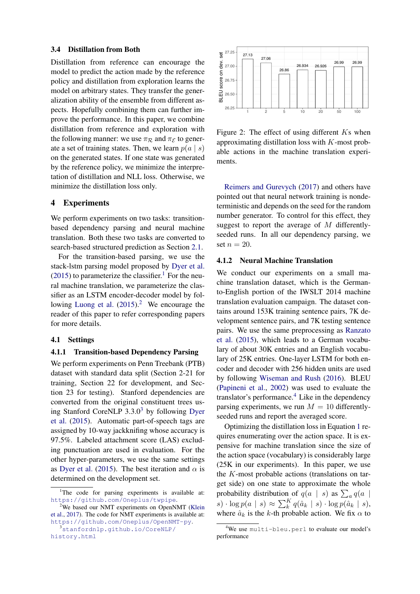#### <span id="page-4-0"></span>3.4 Distillation from Both

Distillation from reference can encourage the model to predict the action made by the reference policy and distillation from exploration learns the model on arbitrary states. They transfer the generalization ability of the ensemble from different aspects. Hopefully combining them can further improve the performance. In this paper, we combine distillation from reference and exploration with the following manner: we use  $\pi_R$  and  $\pi_{\mathcal{E}}$  to generate a set of training states. Then, we learn  $p(a \mid s)$ on the generated states. If one state was generated by the reference policy, we minimize the interpretation of distillation and NLL loss. Otherwise, we minimize the distillation loss only.

#### <span id="page-4-1"></span>4 Experiments

We perform experiments on two tasks: transitionbased dependency parsing and neural machine translation. Both these two tasks are converted to search-based structured prediction as Section [2.1.](#page-1-1)

For the transition-based parsing, we use the stack-lstm parsing model proposed by [Dyer et al.](#page-8-10)  $(2015)$  to parameterize the classifier.<sup>[1](#page-4-2)</sup> For the neural machine translation, we parameterize the classifier as an LSTM encoder-decoder model by fol-lowing [Luong et al.](#page-9-11)  $(2015)^2$  $(2015)^2$  $(2015)^2$  We encourage the reader of this paper to refer corresponding papers for more details.

#### 4.1 Settings

### 4.1.1 Transition-based Dependency Parsing

We perform experiments on Penn Treebank (PTB) dataset with standard data split (Section 2-21 for training, Section 22 for development, and Section 23 for testing). Stanford dependencies are converted from the original constituent trees using Stanford CoreNLP  $3.3.0<sup>3</sup>$  $3.3.0<sup>3</sup>$  by following [Dyer](#page-8-10) [et al.](#page-8-10) [\(2015\)](#page-8-10). Automatic part-of-speech tags are assigned by 10-way jackknifing whose accuracy is 97.5%. Labeled attachment score (LAS) excluding punctuation are used in evaluation. For the other hyper-parameters, we use the same settings as [Dyer et al.](#page-8-10) [\(2015\)](#page-8-10). The best iteration and  $\alpha$  is determined on the development set.

```
3stanfordnlp.github.io/CoreNLP/
history.html
```
<span id="page-4-6"></span>

Figure 2: The effect of using different Ks when approximating distillation loss with K-most probable actions in the machine translation experiments.

[Reimers and Gurevych](#page-9-13) [\(2017\)](#page-9-13) and others have pointed out that neural network training is nondeterministic and depends on the seed for the random number generator. To control for this effect, they suggest to report the average of M differentlyseeded runs. In all our dependency parsing, we set  $n = 20$ .

# 4.1.2 Neural Machine Translation

We conduct our experiments on a small machine translation dataset, which is the Germanto-English portion of the IWSLT 2014 machine translation evaluation campaign. The dataset contains around 153K training sentence pairs, 7K development sentence pairs, and 7K testing sentence pairs. We use the same preprocessing as [Ranzato](#page-9-14) [et al.](#page-9-14) [\(2015\)](#page-9-14), which leads to a German vocabulary of about 30K entries and an English vocabulary of 25K entries. One-layer LSTM for both encoder and decoder with 256 hidden units are used by following [Wiseman and Rush](#page-9-15) [\(2016\)](#page-9-15). BLEU [\(Papineni et al.,](#page-9-16) [2002\)](#page-9-16) was used to evaluate the translator's performance.<sup>[4](#page-4-5)</sup> Like in the dependency parsing experiments, we run  $M = 10$  differentlyseeded runs and report the averaged score.

Optimizing the distillation loss in Equation [1](#page-2-4) requires enumerating over the action space. It is expensive for machine translation since the size of the action space (vocabulary) is considerably large (25K in our experiments). In this paper, we use the K-most probable actions (translations on target side) on one state to approximate the whole probability distribution of  $q(a \mid s)$  as  $\sum_a q(a \mid s)$  $s) \cdot \log p(a \mid s) \approx \sum_{k}^{K} q(\hat{a}_{k} \mid s) \cdot \log p(\hat{a}_{k} \mid s),$ where  $\hat{a}_k$  is the k-th probable action. We fix  $\alpha$  to

<span id="page-4-2"></span><sup>&</sup>lt;sup>1</sup>The code for parsing experiments is available at: <https://github.com/Oneplus/twpipe>.

<span id="page-4-3"></span> $2$ We based our NMT experiments on OpenNMT [\(Klein](#page-9-12) [et al.,](#page-9-12) [2017\)](#page-9-12). The code for NMT experiments is available at: <https://github.com/Oneplus/OpenNMT-py>.

<span id="page-4-5"></span><sup>&</sup>lt;sup>4</sup>We use multi-bleu.perl to evaluate our model's performance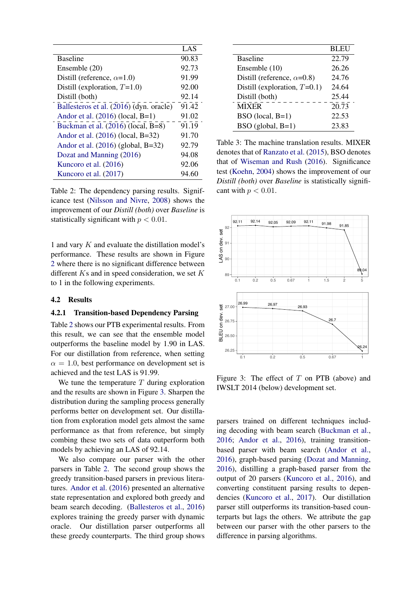<span id="page-5-1"></span>

|                                         | LAS   |
|-----------------------------------------|-------|
| <b>Baseline</b>                         | 90.83 |
| Ensemble (20)                           | 92.73 |
| Distill (reference, $\alpha$ =1.0)      | 91.99 |
| Distill (exploration, $T=1.0$ )         | 92.00 |
| Distill (both)                          | 92.14 |
| Ballesteros et al. (2016) (dyn. oracle) | 91.42 |
| Andor et al. (2016) (local, B=1)        | 91.02 |
| Buckman et al. (2016) (local, B=8)      | 91.19 |
| Andor et al. (2016) (local, B=32)       | 91.70 |
| Andor et al. $(2016)$ (global, B=32)    | 92.79 |
| Dozat and Manning (2016)                | 94.08 |
| Kuncoro et al. (2016)                   | 92.06 |
| Kuncoro et al. (2017)                   | 94.60 |

Table 2: The dependency parsing results. Significance test [\(Nilsson and Nivre,](#page-9-19) [2008\)](#page-9-19) shows the improvement of our *Distill (both)* over *Baseline* is statistically significant with  $p < 0.01$ .

1 and vary K and evaluate the distillation model's performance. These results are shown in Figure [2](#page-4-6) where there is no significant difference between different  $Ks$  and in speed consideration, we set  $K$ to 1 in the following experiments.

#### <span id="page-5-0"></span>4.2 Results

# 4.2.1 Transition-based Dependency Parsing

Table [2](#page-5-1) shows our PTB experimental results. From this result, we can see that the ensemble model outperforms the baseline model by 1.90 in LAS. For our distillation from reference, when setting  $\alpha = 1.0$ , best performance on development set is achieved and the test LAS is 91.99.

We tune the temperature  $T$  during exploration and the results are shown in Figure [3.](#page-5-2) Sharpen the distribution during the sampling process generally performs better on development set. Our distillation from exploration model gets almost the same performance as that from reference, but simply combing these two sets of data outperform both models by achieving an LAS of 92.14.

We also compare our parser with the other parsers in Table [2.](#page-5-1) The second group shows the greedy transition-based parsers in previous literatures. [Andor et al.](#page-8-12) [\(2016\)](#page-8-12) presented an alternative state representation and explored both greedy and beam search decoding. [\(Ballesteros et al.,](#page-8-11) [2016\)](#page-8-11) explores training the greedy parser with dynamic oracle. Our distillation parser outperforms all these greedy counterparts. The third group shows

<span id="page-5-3"></span>

|                                    | <b>BLEU</b> |
|------------------------------------|-------------|
| <b>Baseline</b>                    | 22.79       |
| Ensemble (10)                      | 26.26       |
| Distill (reference, $\alpha$ =0.8) | 24.76       |
| Distill (exploration, $T=0.1$ )    | 24.64       |
| Distill (both)                     | 25.44       |
| <b>MIXER</b>                       | 20.73       |
| $BSO$ (local, $B=1$ )              | 22.53       |
| $BSO$ (global, $B=1$ )             | 23.83       |

Table 3: The machine translation results. MIXER denotes that of [Ranzato et al.](#page-9-14) [\(2015\)](#page-9-14), BSO denotes that of [Wiseman and Rush](#page-9-15) [\(2016\)](#page-9-15). Significance test [\(Koehn,](#page-9-20) [2004\)](#page-9-20) shows the improvement of our *Distill (both)* over *Baseline* is statistically significant with  $p < 0.01$ .

<span id="page-5-2"></span>

Figure 3: The effect of  $T$  on PTB (above) and IWSLT 2014 (below) development set.

parsers trained on different techniques including decoding with beam search [\(Buckman et al.,](#page-8-13) [2016;](#page-8-13) [Andor et al.,](#page-8-12) [2016\)](#page-8-12), training transitionbased parser with beam search [\(Andor et al.,](#page-8-12) [2016\)](#page-8-12), graph-based parsing [\(Dozat and Manning,](#page-8-14) [2016\)](#page-8-14), distilling a graph-based parser from the output of 20 parsers [\(Kuncoro et al.,](#page-9-17) [2016\)](#page-9-17), and converting constituent parsing results to dependencies [\(Kuncoro et al.,](#page-9-18) [2017\)](#page-9-18). Our distillation parser still outperforms its transition-based counterparts but lags the others. We attribute the gap between our parser with the other parsers to the difference in parsing algorithms.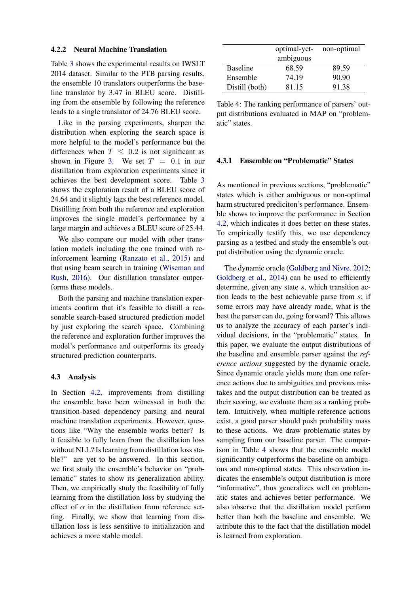#### 4.2.2 Neural Machine Translation

Table [3](#page-5-3) shows the experimental results on IWSLT 2014 dataset. Similar to the PTB parsing results, the ensemble 10 translators outperforms the baseline translator by 3.47 in BLEU score. Distilling from the ensemble by following the reference leads to a single translator of 24.76 BLEU score.

Like in the parsing experiments, sharpen the distribution when exploring the search space is more helpful to the model's performance but the differences when  $T < 0.2$  is not significant as shown in Figure [3.](#page-5-2) We set  $T = 0.1$  in our distillation from exploration experiments since it achieves the best development score. Table [3](#page-5-3) shows the exploration result of a BLEU score of 24.64 and it slightly lags the best reference model. Distilling from both the reference and exploration improves the single model's performance by a large margin and achieves a BLEU score of 25.44.

We also compare our model with other translation models including the one trained with reinforcement learning [\(Ranzato et al.,](#page-9-14) [2015\)](#page-9-14) and that using beam search in training [\(Wiseman and](#page-9-15) [Rush,](#page-9-15) [2016\)](#page-9-15). Our distillation translator outperforms these models.

Both the parsing and machine translation experiments confirm that it's feasible to distill a reasonable search-based structured prediction model by just exploring the search space. Combining the reference and exploration further improves the model's performance and outperforms its greedy structured prediction counterparts.

## <span id="page-6-0"></span>4.3 Analysis

In Section [4.2,](#page-5-0) improvements from distilling the ensemble have been witnessed in both the transition-based dependency parsing and neural machine translation experiments. However, questions like "Why the ensemble works better? Is it feasible to fully learn from the distillation loss without NLL? Is learning from distillation loss stable?" are yet to be answered. In this section, we first study the ensemble's behavior on "problematic" states to show its generalization ability. Then, we empirically study the feasibility of fully learning from the distillation loss by studying the effect of  $\alpha$  in the distillation from reference setting. Finally, we show that learning from distillation loss is less sensitive to initialization and achieves a more stable model.

<span id="page-6-2"></span>

|                 | optimal-yet- | non-optimal |  |  |  |
|-----------------|--------------|-------------|--|--|--|
| ambiguous       |              |             |  |  |  |
| <b>Baseline</b> | 68.59        | 89.59       |  |  |  |
| Ensemble        | 74.19        | 90.90       |  |  |  |
| Distill (both)  | 81.15        | 91.38       |  |  |  |

Table 4: The ranking performance of parsers' output distributions evaluated in MAP on "problematic" states.

# <span id="page-6-1"></span>4.3.1 Ensemble on "Problematic" States

As mentioned in previous sections, "problematic" states which is either ambiguous or non-optimal harm structured prediciton's performance. Ensemble shows to improve the performance in Section [4.2,](#page-5-0) which indicates it does better on these states. To empirically testify this, we use dependency parsing as a testbed and study the ensemble's output distribution using the dynamic oracle.

The dynamic oracle [\(Goldberg and Nivre,](#page-9-5) [2012;](#page-9-5) [Goldberg et al.,](#page-9-21) [2014\)](#page-9-21) can be used to efficiently determine, given any state s, which transition action leads to the best achievable parse from  $s$ ; if some errors may have already made, what is the best the parser can do, going forward? This allows us to analyze the accuracy of each parser's individual decisions, in the "problematic" states. In this paper, we evaluate the output distributions of the baseline and ensemble parser against the *reference actions* suggested by the dynamic oracle. Since dynamic oracle yields more than one reference actions due to ambiguities and previous mistakes and the output distribution can be treated as their scoring, we evaluate them as a ranking problem. Intuitively, when multiple reference actions exist, a good parser should push probability mass to these actions. We draw problematic states by sampling from our baseline parser. The comparison in Table [4](#page-6-2) shows that the ensemble model significantly outperforms the baseline on ambiguous and non-optimal states. This observation indicates the ensemble's output distribution is more "informative", thus generalizes well on problematic states and achieves better performance. We also observe that the distillation model perform better than both the baseline and ensemble. We attribute this to the fact that the distillation model is learned from exploration.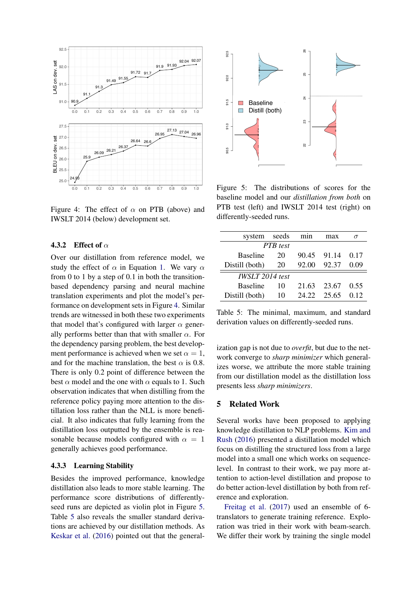<span id="page-7-0"></span>

Figure 4: The effect of  $\alpha$  on PTB (above) and IWSLT 2014 (below) development set.

## 4.3.2 Effect of  $\alpha$

Over our distillation from reference model, we study the effect of  $\alpha$  in Equation [1.](#page-2-4) We vary  $\alpha$ from 0 to 1 by a step of 0.1 in both the transitionbased dependency parsing and neural machine translation experiments and plot the model's performance on development sets in Figure [4.](#page-7-0) Similar trends are witnessed in both these two experiments that model that's configured with larger  $\alpha$  generally performs better than that with smaller  $\alpha$ . For the dependency parsing problem, the best development performance is achieved when we set  $\alpha = 1$ , and for the machine translation, the best  $\alpha$  is 0.8. There is only 0.2 point of difference between the best  $\alpha$  model and the one with  $\alpha$  equals to 1. Such observation indicates that when distilling from the reference policy paying more attention to the distillation loss rather than the NLL is more beneficial. It also indicates that fully learning from the distillation loss outputted by the ensemble is reasonable because models configured with  $\alpha = 1$ generally achieves good performance.

#### 4.3.3 Learning Stability

Besides the improved performance, knowledge distillation also leads to more stable learning. The performance score distributions of differentlyseed runs are depicted as violin plot in Figure [5.](#page-7-1) Table [5](#page-7-2) also reveals the smaller standard derivations are achieved by our distillation methods. As [Keskar et al.](#page-9-22) [\(2016\)](#page-9-22) pointed out that the general-

<span id="page-7-1"></span>

Figure 5: The distributions of scores for the baseline model and our *distillation from both* on PTB test (left) and IWSLT 2014 test (right) on differently-seeded runs.

<span id="page-7-2"></span>

| system seeds           |    |       | max   |      |  |  |
|------------------------|----|-------|-------|------|--|--|
| <b>PTR</b> test        |    |       |       |      |  |  |
| <b>Baseline</b>        | 20 | 90.45 | 91.14 | 0.17 |  |  |
| Distill (both)         | 20 | 92.00 | 92.37 | 0.09 |  |  |
| <b>IWSLT 2014</b> test |    |       |       |      |  |  |
| <b>Baseline</b>        | 10 | 21.63 | 23.67 | 0.55 |  |  |
| Distill (both)         | 10 | 24.22 | 25.65 | 0.12 |  |  |

Table 5: The minimal, maximum, and standard derivation values on differently-seeded runs.

ization gap is not due to *overfit*, but due to the network converge to *sharp minimizer* which generalizes worse, we attribute the more stable training from our distillation model as the distillation loss presents less *sharp minimizers*.

## 5 Related Work

Several works have been proposed to applying knowledge distillation to NLP problems. [Kim and](#page-9-23) [Rush](#page-9-23) [\(2016\)](#page-9-23) presented a distillation model which focus on distilling the structured loss from a large model into a small one which works on sequencelevel. In contrast to their work, we pay more attention to action-level distillation and propose to do better action-level distillation by both from reference and exploration.

[Freitag et al.](#page-8-15) [\(2017\)](#page-8-15) used an ensemble of 6 translators to generate training reference. Exploration was tried in their work with beam-search. We differ their work by training the single model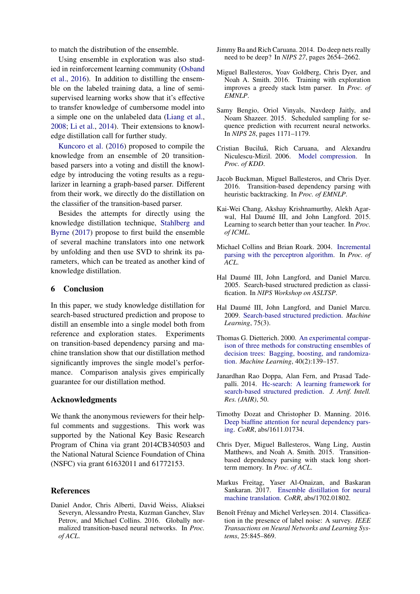to match the distribution of the ensemble.

Using ensemble in exploration was also studied in reinforcement learning community [\(Osband](#page-9-24) [et al.,](#page-9-24) [2016\)](#page-9-24). In addition to distilling the ensemble on the labeled training data, a line of semisupervised learning works show that it's effective to transfer knowledge of cumbersome model into a simple one on the unlabeled data [\(Liang et al.,](#page-9-25) [2008;](#page-9-25) [Li et al.,](#page-9-26) [2014\)](#page-9-26). Their extensions to knowledge distillation call for further study.

[Kuncoro et al.](#page-9-17) [\(2016\)](#page-9-17) proposed to compile the knowledge from an ensemble of 20 transitionbased parsers into a voting and distill the knowledge by introducing the voting results as a regularizer in learning a graph-based parser. Different from their work, we directly do the distillation on the classifier of the transition-based parser.

Besides the attempts for directly using the knowledge distillation technique, [Stahlberg and](#page-9-27) [Byrne](#page-9-27) [\(2017\)](#page-9-27) propose to first build the ensemble of several machine translators into one network by unfolding and then use SVD to shrink its parameters, which can be treated as another kind of knowledge distillation.

# 6 Conclusion

In this paper, we study knowledge distillation for search-based structured prediction and propose to distill an ensemble into a single model both from reference and exploration states. Experiments on transition-based dependency parsing and machine translation show that our distillation method significantly improves the single model's performance. Comparison analysis gives empirically guarantee for our distillation method.

# Acknowledgments

We thank the anonymous reviewers for their helpful comments and suggestions. This work was supported by the National Key Basic Research Program of China via grant 2014CB340503 and the National Natural Science Foundation of China (NSFC) via grant 61632011 and 61772153.

## References

<span id="page-8-12"></span>Daniel Andor, Chris Alberti, David Weiss, Aliaksei Severyn, Alessandro Presta, Kuzman Ganchev, Slav Petrov, and Michael Collins. 2016. Globally normalized transition-based neural networks. In *Proc. of ACL*.

- <span id="page-8-9"></span>Jimmy Ba and Rich Caruana. 2014. Do deep nets really need to be deep? In *NIPS 27*, pages 2654–2662.
- <span id="page-8-11"></span>Miguel Ballesteros, Yoav Goldberg, Chris Dyer, and Noah A. Smith. 2016. Training with exploration improves a greedy stack lstm parser. In *Proc. of EMNLP*.
- <span id="page-8-2"></span>Samy Bengio, Oriol Vinyals, Navdeep Jaitly, and Noam Shazeer. 2015. Scheduled sampling for sequence prediction with recurrent neural networks. In *NIPS 28*, pages 1171–1179.
- <span id="page-8-8"></span>Cristian Buciluă, Rich Caruana, and Alexandru Niculescu-Mizil. 2006. [Model compression.](https://doi.org/10.1145/1150402.1150464) In *Proc. of KDD*.
- <span id="page-8-13"></span>Jacob Buckman, Miguel Ballesteros, and Chris Dyer. 2016. Transition-based dependency parsing with heuristic backtracking. In *Proc. of EMNLP*.
- <span id="page-8-6"></span>Kai-Wei Chang, Akshay Krishnamurthy, Alekh Agarwal, Hal Daumé III, and John Langford. 2015. Learning to search better than your teacher. In *Proc. of ICML*.
- <span id="page-8-0"></span>Michael Collins and Brian Roark. 2004. [Incremental](https://doi.org/10.3115/1218955.1218970) [parsing with the perceptron algorithm.](https://doi.org/10.3115/1218955.1218970) In *Proc. of ACL*.
- <span id="page-8-3"></span>Hal Daumé III, John Langford, and Daniel Marcu. 2005. Search-based structured prediction as classification. In *NIPS Workshop on ASLTSP*.
- <span id="page-8-4"></span>Hal Daumé III, John Langford, and Daniel Marcu. 2009. [Search-based structured prediction.](https://doi.org/10.1007/s10994-009-5106-x) *Machine Learning*, 75(3).
- <span id="page-8-1"></span>Thomas G. Dietterich. 2000. [An experimental compar](https://doi.org/10.1023/A:1007607513941)[ison of three methods for constructing ensembles of](https://doi.org/10.1023/A:1007607513941) [decision trees: Bagging, boosting, and randomiza](https://doi.org/10.1023/A:1007607513941)[tion.](https://doi.org/10.1023/A:1007607513941) *Machine Learning*, 40(2):139–157.
- <span id="page-8-5"></span>Janardhan Rao Doppa, Alan Fern, and Prasad Tadepalli. 2014. [Hc-search: A learning framework for](https://doi.org/10.1613/jair.4212) [search-based structured prediction.](https://doi.org/10.1613/jair.4212) *J. Artif. Intell. Res. (JAIR)*, 50.
- <span id="page-8-14"></span>Timothy Dozat and Christopher D. Manning. 2016. [Deep biaffine attention for neural dependency pars](http://arxiv.org/abs/1611.01734)[ing.](http://arxiv.org/abs/1611.01734) *CoRR*, abs/1611.01734.
- <span id="page-8-10"></span>Chris Dyer, Miguel Ballesteros, Wang Ling, Austin Matthews, and Noah A. Smith. 2015. Transitionbased dependency parsing with stack long shortterm memory. In *Proc. of ACL*.
- <span id="page-8-15"></span>Markus Freitag, Yaser Al-Onaizan, and Baskaran Sankaran. 2017. [Ensemble distillation for neural](http://arxiv.org/abs/1702.01802) [machine translation.](http://arxiv.org/abs/1702.01802) *CoRR*, abs/1702.01802.
- <span id="page-8-7"></span>Benoît Frénay and Michel Verleysen. 2014. Classification in the presence of label noise: A survey. *IEEE Transactions on Neural Networks and Learning Systems*, 25:845–869.